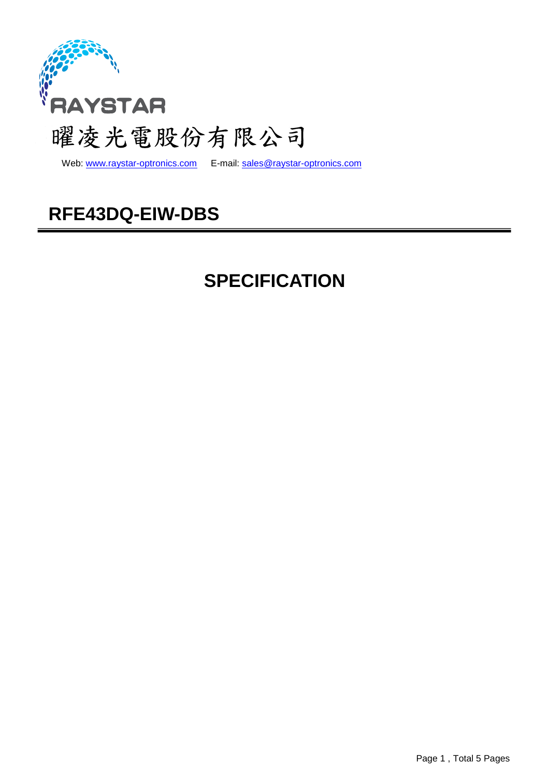

Web: www.raystar-optronics.com E-mail: sales@raystar-optronics.com

# **RFE43DQ-EIW-DBS**

# **SPECIFICATION**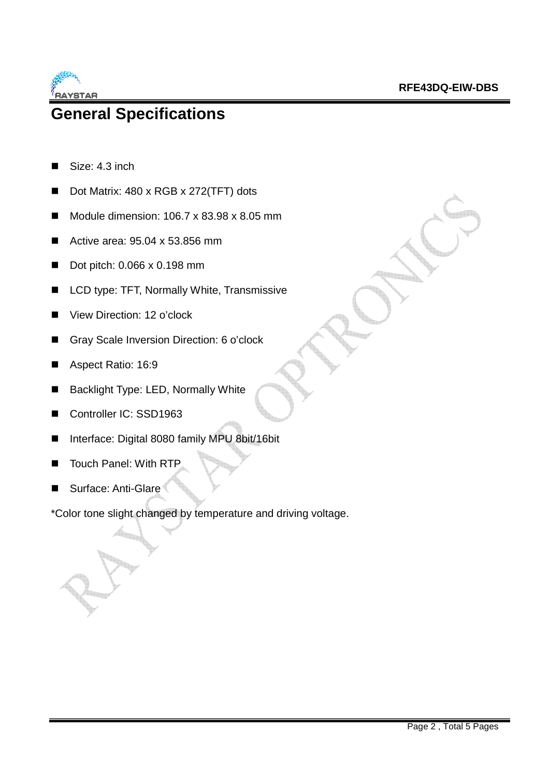

## **General Specifications**

- Size: 4.3 inch
- Dot Matrix: 480 x RGB x 272(TFT) dots
- Module dimension:  $106.7 \times 83.98 \times 8.05$  mm
- Active area: 95.04 x 53.856 mm
- Dot pitch: 0.066 x 0.198 mm
- LCD type: TFT, Normally White, Transmissive
- View Direction: 12 o'clock
- Gray Scale Inversion Direction: 6 o'clock
- Aspect Ratio: 16:9
- Backlight Type: LED, Normally White
- Controller IC: SSD1963
- Interface: Digital 8080 family MPU 8bit/16bit
- Touch Panel: With RTP
- Surface: Anti-Glare

\*Color tone slight changed by temperature and driving voltage.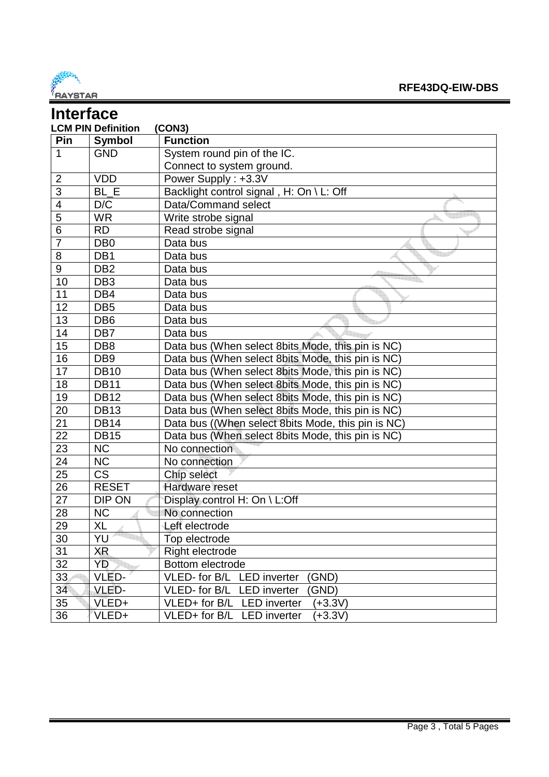

|                          | <b>Interface</b>          |                                                    |  |  |  |
|--------------------------|---------------------------|----------------------------------------------------|--|--|--|
|                          | <b>LCM PIN Definition</b> | (CON3)                                             |  |  |  |
| Pin                      | <b>Symbol</b>             | <b>Function</b>                                    |  |  |  |
| $\mathbf 1$              | <b>GND</b>                | System round pin of the IC.                        |  |  |  |
|                          |                           | Connect to system ground.                          |  |  |  |
| $\overline{2}$           | <b>VDD</b>                | Power Supply: +3.3V                                |  |  |  |
| 3                        | BL E                      | Backlight control signal, H: On \ L: Off           |  |  |  |
| $\overline{\mathcal{A}}$ | D/C                       | Data/Command select                                |  |  |  |
| 5                        | <b>WR</b>                 | Write strobe signal                                |  |  |  |
| $\overline{6}$           | <b>RD</b>                 | Read strobe signal                                 |  |  |  |
| $\overline{7}$           | DB <sub>0</sub>           | Data bus                                           |  |  |  |
| 8                        | DB1                       | Data bus                                           |  |  |  |
| 9                        | DB <sub>2</sub>           | Data bus                                           |  |  |  |
| 10                       | DB <sub>3</sub>           | Data bus                                           |  |  |  |
| 11                       | DB4                       | Data bus                                           |  |  |  |
| 12                       | DB <sub>5</sub>           | Data bus                                           |  |  |  |
| 13                       | DB <sub>6</sub>           | Data bus                                           |  |  |  |
| 14                       | DB7                       | Data bus                                           |  |  |  |
| 15                       | DB <sub>8</sub>           | Data bus (When select 8bits Mode, this pin is NC)  |  |  |  |
| 16                       | DB <sub>9</sub>           | Data bus (When select 8bits Mode, this pin is NC)  |  |  |  |
| 17                       | <b>DB10</b>               | Data bus (When select 8bits Mode, this pin is NC)  |  |  |  |
| 18                       | <b>DB11</b>               | Data bus (When select 8bits Mode, this pin is NC)  |  |  |  |
| 19                       | <b>DB12</b>               | Data bus (When select 8bits Mode, this pin is NC)  |  |  |  |
| 20                       | <b>DB13</b>               | Data bus (When select 8bits Mode, this pin is NC)  |  |  |  |
| 21                       | <b>DB14</b>               | Data bus ((When select 8bits Mode, this pin is NC) |  |  |  |
| 22                       | <b>DB15</b>               | Data bus (When select 8bits Mode, this pin is NC)  |  |  |  |
| 23                       | <b>NC</b>                 | No connection                                      |  |  |  |
| 24                       | <b>NC</b>                 | No connection                                      |  |  |  |
| 25                       | <b>CS</b>                 | Chip select                                        |  |  |  |
| 26                       | <b>RESET</b>              | Hardware reset                                     |  |  |  |
| 27                       | DIP ON                    | Display control H: On \ L:Off                      |  |  |  |
| 28                       | <b>NC</b>                 | No connection                                      |  |  |  |
| 29                       | XL                        | Left electrode                                     |  |  |  |
| 30                       | YU                        | Top electrode                                      |  |  |  |
| 31                       | XR                        | Right electrode                                    |  |  |  |
| 32                       | YD                        | Bottom electrode                                   |  |  |  |
| 33                       | VLED-                     | VLED- for B/L LED inverter<br>(GND)                |  |  |  |
| 34                       | VLED-                     | VLED- for B/L<br><b>LED</b> inverter<br>GND)       |  |  |  |
| 35                       | VLED+                     | VLED+ for B/L LED inverter<br>$(+3.3V)$            |  |  |  |
| 36                       | VLED+                     | VLED+ for B/L LED inverter<br>$(+3.3V)$            |  |  |  |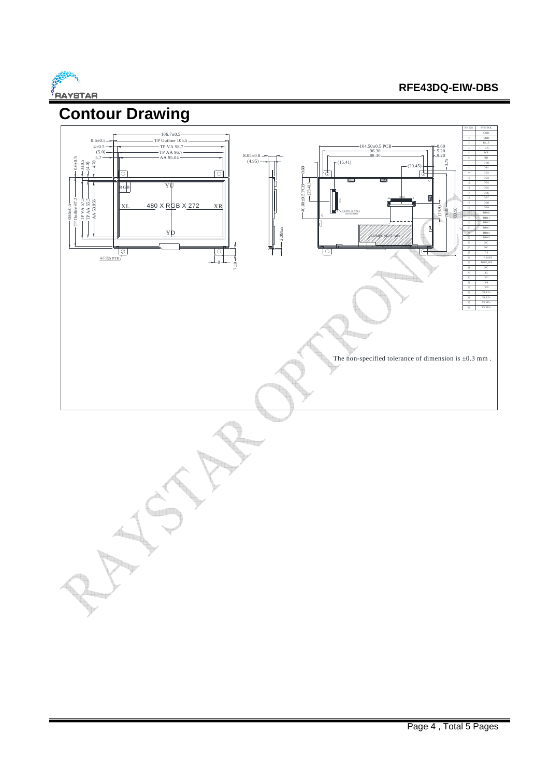

### **RFE43DQ-EIW-DBS**